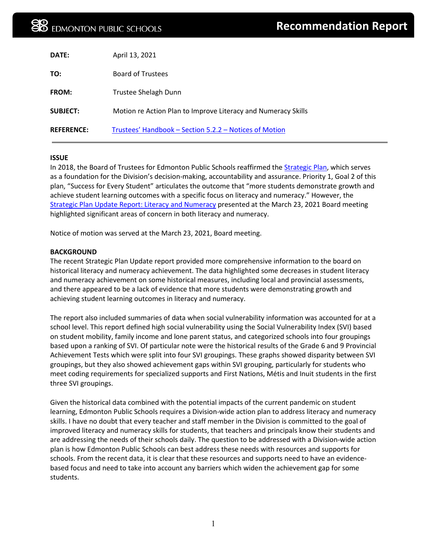| DATE:             | April 13, 2021                                                |
|-------------------|---------------------------------------------------------------|
| TO:               | <b>Board of Trustees</b>                                      |
| <b>FROM:</b>      | Trustee Shelagh Dunn                                          |
| <b>SUBJECT:</b>   | Motion re Action Plan to Improve Literacy and Numeracy Skills |
| <b>REFERENCE:</b> | Trustees' Handbook - Section 5.2.2 - Notices of Motion        |

## **ISSUE**

In 2018, the Board of Trustees for Edmonton Public Schools reaffirmed th[e Strategic Plan,](https://www.epsb.ca/media/epsb/ourdistrict/visionmissionvalues/district-strategic-plan-2018-2022.pdf) which serves as a foundation for the Division's decision-making, accountability and assurance. Priority 1, Goal 2 of this plan, "Success for Every Student" articulates the outcome that "more students demonstrate growth and achieve student learning outcomes with a specific focus on literacy and numeracy." However, the [Strategic Plan Update Report: Literacy and Numeracy](https://epsb.ca/media/epsb/ourdistrict/boardoftrustees/boardmeetings/2020-21/march232021/05-StrategicPlanUpdate-LiteracyandNumeracy.pdf) presented at the March 23, 2021 Board meeting highlighted significant areas of concern in both literacy and numeracy.

Notice of motion was served at the March 23, 2021, Board meeting.

## **BACKGROUND**

The recent Strategic Plan Update report provided more comprehensive information to the board on historical literacy and numeracy achievement. The data highlighted some decreases in student literacy and numeracy achievement on some historical measures, including local and provincial assessments, and there appeared to be a lack of evidence that more students were demonstrating growth and achieving student learning outcomes in literacy and numeracy.

The report also included summaries of data when social vulnerability information was accounted for at a school level. This report defined high social vulnerability using the Social Vulnerability Index (SVI) based on student mobility, family income and lone parent status, and categorized schools into four groupings based upon a ranking of SVI. Of particular note were the historical results of the Grade 6 and 9 Provincial Achievement Tests which were split into four SVI groupings. These graphs showed disparity between SVI groupings, but they also showed achievement gaps within SVI grouping, particularly for students who meet coding requirements for specialized supports and First Nations, Métis and Inuit students in the first three SVI groupings.

Given the historical data combined with the potential impacts of the current pandemic on student learning, Edmonton Public Schools requires a Division-wide action plan to address literacy and numeracy skills. I have no doubt that every teacher and staff member in the Division is committed to the goal of improved literacy and numeracy skills for students, that teachers and principals know their students and are addressing the needs of their schools daily. The question to be addressed with a Division-wide action plan is how Edmonton Public Schools can best address these needs with resources and supports for schools. From the recent data, it is clear that these resources and supports need to have an evidencebased focus and need to take into account any barriers which widen the achievement gap for some students.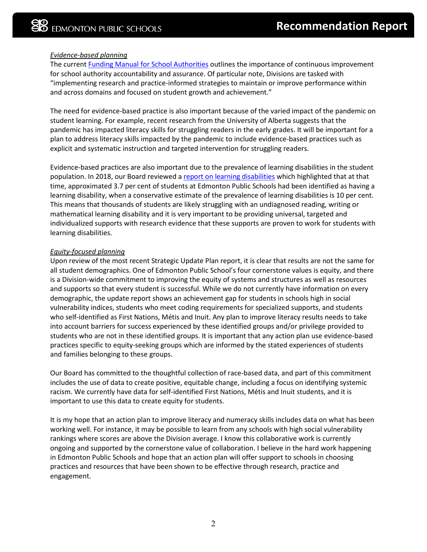# *Evidence-based planning*

The curren[t Funding Manual for School Authorities](https://open.alberta.ca/dataset/8f3b4972-4c47-4009-a090-5b470e68d633/resource/3dbbd76b-f3f3-485b-ba03-7069c87790d2/download/edc-funding-manual-2020-2021-school-year.pdf) outlines the importance of continuous improvement for school authority accountability and assurance. Of particular note, Divisions are tasked with "implementing research and practice-informed strategies to maintain or improve performance within and across domains and focused on student growth and achievement."

The need for evidence-based practice is also important because of the varied impact of the pandemic on student learning. For example, recent research from the University of Alberta suggests that the pandemic has impacted literacy skills for struggling readers in the early grades. It will be important for a plan to address literacy skills impacted by the pandemic to include evidence-based practices such as explicit and systematic instruction and targeted intervention for struggling readers.

Evidence-based practices are also important due to the prevalence of learning disabilities in the student population. In 2018, our Board reviewed a [report on learning disabilities](https://epsb.ca/media/epsb/ourdistrict/boardoftrustees/boardmeetings/2017-18/february202018/09-LearningDisorders-Reading,WritingandMathematics.pdf) which highlighted that at that time, approximated 3.7 per cent of students at Edmonton Public Schools had been identified as having a learning disability, when a conservative estimate of the prevalence of learning disabilities is 10 per cent. This means that thousands of students are likely struggling with an undiagnosed reading, writing or mathematical learning disability and it is very important to be providing universal, targeted and individualized supports with research evidence that these supports are proven to work for students with learning disabilities.

## *Equity-focused planning*

Upon review of the most recent Strategic Update Plan report, it is clear that results are not the same for all student demographics. One of Edmonton Public School's four cornerstone values is equity, and there is a Division-wide commitment to improving the equity of systems and structures as well as resources and supports so that every student is successful. While we do not currently have information on every demographic, the update report shows an achievement gap for students in schools high in social vulnerability indices, students who meet coding requirements for specialized supports, and students who self-identified as First Nations, Métis and Inuit. Any plan to improve literacy results needs to take into account barriers for success experienced by these identified groups and/or privilege provided to students who are not in these identified groups. It is important that any action plan use evidence-based practices specific to equity-seeking groups which are informed by the stated experiences of students and families belonging to these groups.

Our Board has committed to the thoughtful collection of race-based data, and part of this commitment includes the use of data to create positive, equitable change, including a focus on identifying systemic racism. We currently have data for self-identified First Nations, Métis and Inuit students, and it is important to use this data to create equity for students.

It is my hope that an action plan to improve literacy and numeracy skills includes data on what has been working well. For instance, it may be possible to learn from any schools with high social vulnerability rankings where scores are above the Division average. I know this collaborative work is currently ongoing and supported by the cornerstone value of collaboration. I believe in the hard work happening in Edmonton Public Schools and hope that an action plan will offer support to schools in choosing practices and resources that have been shown to be effective through research, practice and engagement.